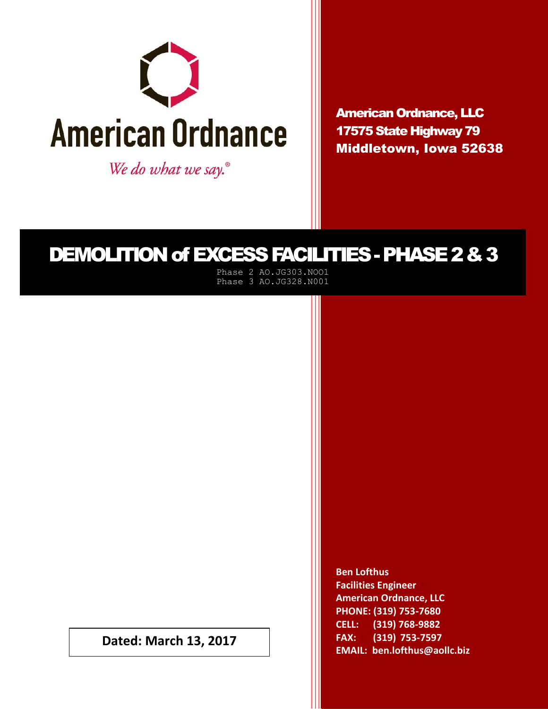

We do what we say.<sup>®</sup>

American Ordnance, LLC 17575 State Highway 79 Middletown, Iowa 52638

# DEMOLITION of EXCESS FACILITIES -PHASE 2 & 3

Phase 2 AO.JG303.NOO1 Phase 3 AO.JG328.N001

**Dated: March 13, 2017**

**Ben Lofthus Facilities Engineer American Ordnance, LLC PHONE: (319) 753-7680 CELL: (319) 768-9882 FAX: (319) 753-7597 EMAIL: ben.lofthus@aollc.biz**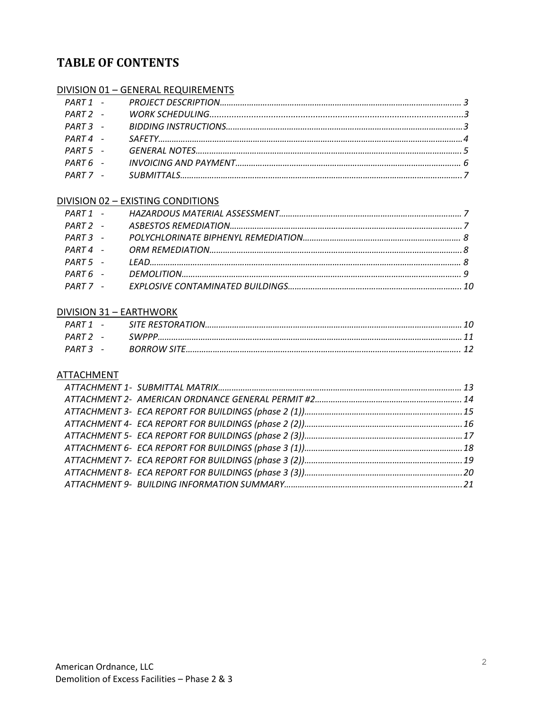## **TABLE OF CONTENTS**

## DIVISION 01 – GENERAL REQUIREMENTS

### DIVISION 02 – EXISTING CONDITIONS

### DIVISION 31 – EARTHWORK

#### ATTACHMENT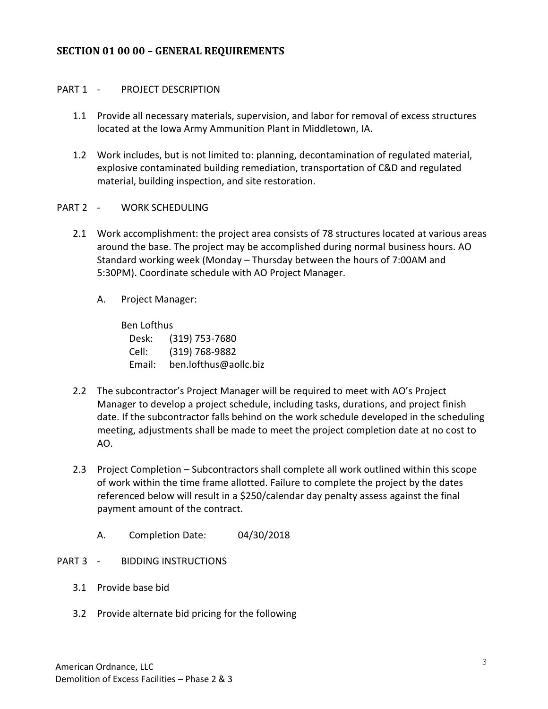#### **SECTION 01 00 00 – GENERAL REQUIREMENTS**

#### PART 1 - PROJECT DESCRIPTION

- 1.1 Provide all necessary materials, supervision, and labor for removal of excess structures located at the Iowa Army Ammunition Plant in Middletown, IA.
- 1.2 Work includes, but is not limited to: planning, decontamination of regulated material, explosive contaminated building remediation, transportation of C&D and regulated material, building inspection, and site restoration.
- PART 2 WORK SCHEDULING
	- 2.1 Work accomplishment: the project area consists of 78 structures located at various areas around the base. The project may be accomplished during normal business hours. AO Standard working week (Monday – Thursday between the hours of 7:00AM and 5:30PM). Coordinate schedule with AO Project Manager.
		- A. Project Manager:

Ben Lofthus Desk: (319) 753-7680 Cell: (319) 768-9882 Email: ben.lofthus@aollc.biz

- 2.2 The subcontractor's Project Manager will be required to meet with AO's Project Manager to develop a project schedule, including tasks, durations, and project finish date. If the subcontractor falls behind on the work schedule developed in the scheduling meeting, adjustments shall be made to meet the project completion date at no cost to AO.
- 2.3 Project Completion Subcontractors shall complete all work outlined within this scope of work within the time frame allotted. Failure to complete the project by the dates referenced below will result in a \$250/calendar day penalty assess against the final payment amount of the contract.
	- A. Completion Date: 04/30/2018
- PART 3 BIDDING INSTRUCTIONS
	- 3.1 Provide base bid
	- 3.2 Provide alternate bid pricing for the following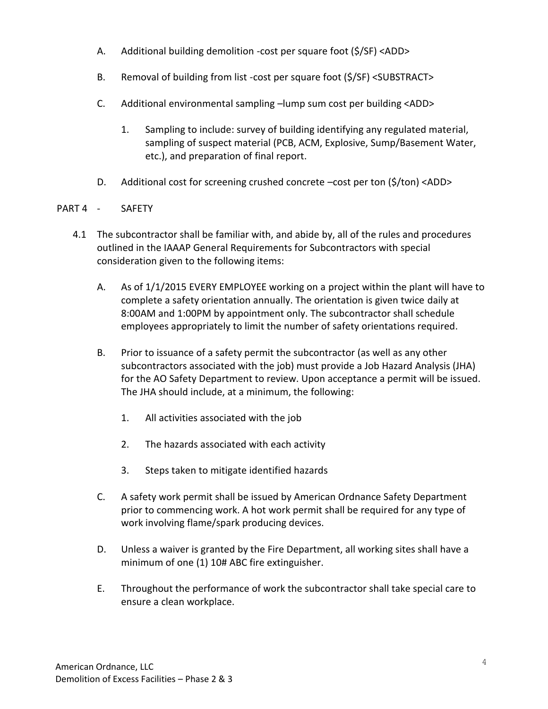- A. Additional building demolition -cost per square foot (\$/SF) <ADD>
- B. Removal of building from list -cost per square foot (\$/SF) <SUBSTRACT>
- C. Additional environmental sampling –lump sum cost per building <ADD>
	- 1. Sampling to include: survey of building identifying any regulated material, sampling of suspect material (PCB, ACM, Explosive, Sump/Basement Water, etc.), and preparation of final report.
- D. Additional cost for screening crushed concrete –cost per ton (\$/ton) <ADD>

## PART 4 - SAFETY

- 4.1 The subcontractor shall be familiar with, and abide by, all of the rules and procedures outlined in the IAAAP General Requirements for Subcontractors with special consideration given to the following items:
	- A. As of 1/1/2015 EVERY EMPLOYEE working on a project within the plant will have to complete a safety orientation annually. The orientation is given twice daily at 8:00AM and 1:00PM by appointment only. The subcontractor shall schedule employees appropriately to limit the number of safety orientations required.
	- B. Prior to issuance of a safety permit the subcontractor (as well as any other subcontractors associated with the job) must provide a Job Hazard Analysis (JHA) for the AO Safety Department to review. Upon acceptance a permit will be issued. The JHA should include, at a minimum, the following:
		- 1. All activities associated with the job
		- 2. The hazards associated with each activity
		- 3. Steps taken to mitigate identified hazards
	- C. A safety work permit shall be issued by American Ordnance Safety Department prior to commencing work. A hot work permit shall be required for any type of work involving flame/spark producing devices.
	- D. Unless a waiver is granted by the Fire Department, all working sites shall have a minimum of one (1) 10# ABC fire extinguisher.
	- E. Throughout the performance of work the subcontractor shall take special care to ensure a clean workplace.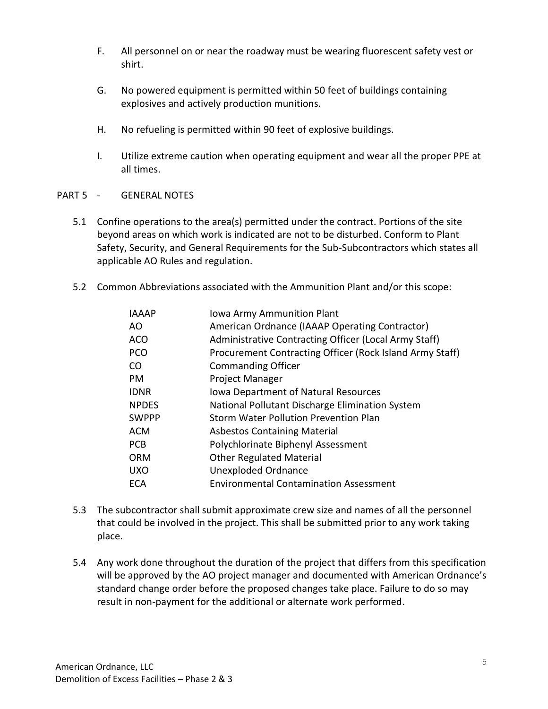- F. All personnel on or near the roadway must be wearing fluorescent safety vest or shirt.
- G. No powered equipment is permitted within 50 feet of buildings containing explosives and actively production munitions.
- H. No refueling is permitted within 90 feet of explosive buildings.
- I. Utilize extreme caution when operating equipment and wear all the proper PPE at all times.
- PART 5 GENERAL NOTES
	- 5.1 Confine operations to the area(s) permitted under the contract. Portions of the site beyond areas on which work is indicated are not to be disturbed. Conform to Plant Safety, Security, and General Requirements for the Sub-Subcontractors which states all applicable AO Rules and regulation.
	- 5.2 Common Abbreviations associated with the Ammunition Plant and/or this scope:

| <b>IAAAP</b> | Iowa Army Ammunition Plant                               |
|--------------|----------------------------------------------------------|
| AO.          | American Ordnance (IAAAP Operating Contractor)           |
| <b>ACO</b>   | Administrative Contracting Officer (Local Army Staff)    |
| <b>PCO</b>   | Procurement Contracting Officer (Rock Island Army Staff) |
| CO           | <b>Commanding Officer</b>                                |
| <b>PM</b>    | <b>Project Manager</b>                                   |
| <b>IDNR</b>  | Iowa Department of Natural Resources                     |
| <b>NPDES</b> | National Pollutant Discharge Elimination System          |
| <b>SWPPP</b> | <b>Storm Water Pollution Prevention Plan</b>             |
| <b>ACM</b>   | <b>Asbestos Containing Material</b>                      |
| <b>PCB</b>   | Polychlorinate Biphenyl Assessment                       |
| <b>ORM</b>   | <b>Other Regulated Material</b>                          |
| <b>UXO</b>   | <b>Unexploded Ordnance</b>                               |
| <b>ECA</b>   | <b>Environmental Contamination Assessment</b>            |
|              |                                                          |

- 5.3 The subcontractor shall submit approximate crew size and names of all the personnel that could be involved in the project. This shall be submitted prior to any work taking place.
- 5.4 Any work done throughout the duration of the project that differs from this specification will be approved by the AO project manager and documented with American Ordnance's standard change order before the proposed changes take place. Failure to do so may result in non-payment for the additional or alternate work performed.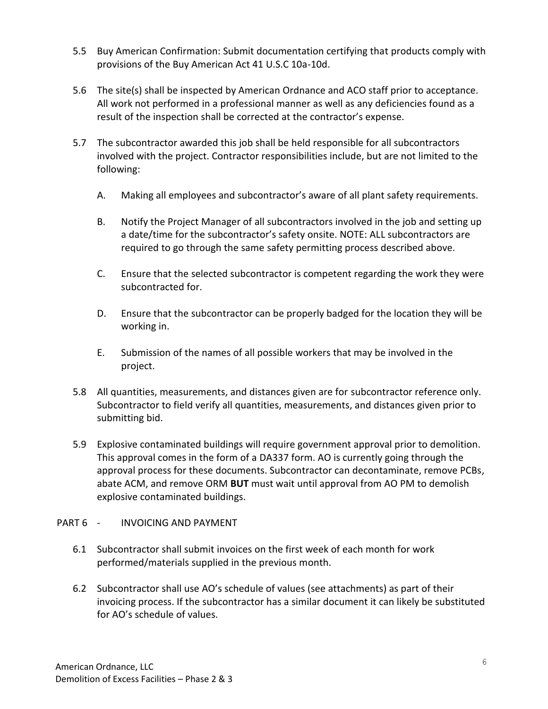- 5.5 Buy American Confirmation: Submit documentation certifying that products comply with provisions of the Buy American Act 41 U.S.C 10a-10d.
- 5.6 The site(s) shall be inspected by American Ordnance and ACO staff prior to acceptance. All work not performed in a professional manner as well as any deficiencies found as a result of the inspection shall be corrected at the contractor's expense.
- 5.7 The subcontractor awarded this job shall be held responsible for all subcontractors involved with the project. Contractor responsibilities include, but are not limited to the following:
	- A. Making all employees and subcontractor's aware of all plant safety requirements.
	- B. Notify the Project Manager of all subcontractors involved in the job and setting up a date/time for the subcontractor's safety onsite. NOTE: ALL subcontractors are required to go through the same safety permitting process described above.
	- C. Ensure that the selected subcontractor is competent regarding the work they were subcontracted for.
	- D. Ensure that the subcontractor can be properly badged for the location they will be working in.
	- E. Submission of the names of all possible workers that may be involved in the project.
- 5.8 All quantities, measurements, and distances given are for subcontractor reference only. Subcontractor to field verify all quantities, measurements, and distances given prior to submitting bid.
- 5.9 Explosive contaminated buildings will require government approval prior to demolition. This approval comes in the form of a DA337 form. AO is currently going through the approval process for these documents. Subcontractor can decontaminate, remove PCBs, abate ACM, and remove ORM **BUT** must wait until approval from AO PM to demolish explosive contaminated buildings.

## PART 6 - INVOICING AND PAYMENT

- 6.1 Subcontractor shall submit invoices on the first week of each month for work performed/materials supplied in the previous month.
- 6.2 Subcontractor shall use AO's schedule of values (see attachments) as part of their invoicing process. If the subcontractor has a similar document it can likely be substituted for AO's schedule of values.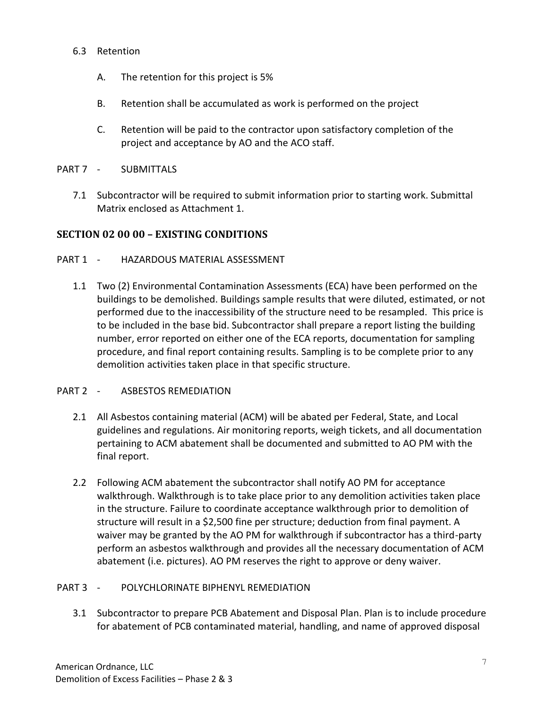#### 6.3 Retention

- A. The retention for this project is 5%
- B. Retention shall be accumulated as work is performed on the project
- C. Retention will be paid to the contractor upon satisfactory completion of the project and acceptance by AO and the ACO staff.
- PART 7 SUBMITTALS
	- 7.1 Subcontractor will be required to submit information prior to starting work. Submittal Matrix enclosed as Attachment 1.

## **SECTION 02 00 00 – EXISTING CONDITIONS**

### PART 1 - HAZARDOUS MATERIAL ASSESSMENT

1.1 Two (2) Environmental Contamination Assessments (ECA) have been performed on the buildings to be demolished. Buildings sample results that were diluted, estimated, or not performed due to the inaccessibility of the structure need to be resampled. This price is to be included in the base bid. Subcontractor shall prepare a report listing the building number, error reported on either one of the ECA reports, documentation for sampling procedure, and final report containing results. Sampling is to be complete prior to any demolition activities taken place in that specific structure.

#### PART 2 - ASBESTOS REMEDIATION

- 2.1 All Asbestos containing material (ACM) will be abated per Federal, State, and Local guidelines and regulations. Air monitoring reports, weigh tickets, and all documentation pertaining to ACM abatement shall be documented and submitted to AO PM with the final report.
- 2.2 Following ACM abatement the subcontractor shall notify AO PM for acceptance walkthrough. Walkthrough is to take place prior to any demolition activities taken place in the structure. Failure to coordinate acceptance walkthrough prior to demolition of structure will result in a \$2,500 fine per structure; deduction from final payment. A waiver may be granted by the AO PM for walkthrough if subcontractor has a third-party perform an asbestos walkthrough and provides all the necessary documentation of ACM abatement (i.e. pictures). AO PM reserves the right to approve or deny waiver.

## PART 3 - POLYCHLORINATE BIPHENYL REMEDIATION

3.1 Subcontractor to prepare PCB Abatement and Disposal Plan. Plan is to include procedure for abatement of PCB contaminated material, handling, and name of approved disposal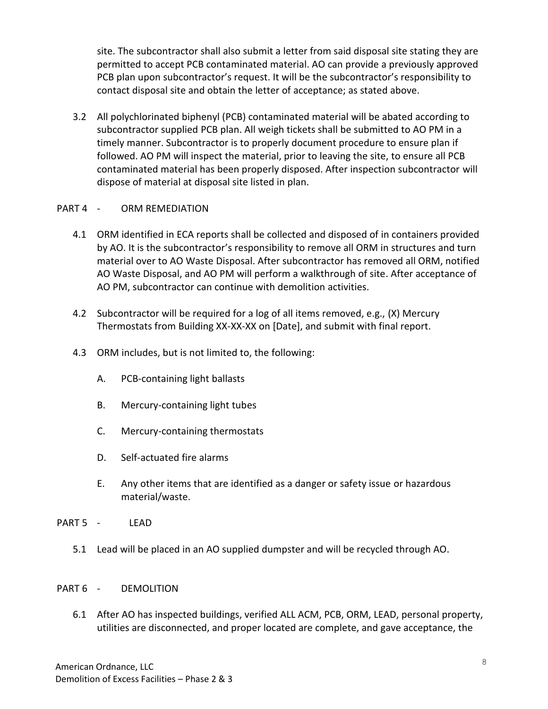site. The subcontractor shall also submit a letter from said disposal site stating they are permitted to accept PCB contaminated material. AO can provide a previously approved PCB plan upon subcontractor's request. It will be the subcontractor's responsibility to contact disposal site and obtain the letter of acceptance; as stated above.

3.2 All polychlorinated biphenyl (PCB) contaminated material will be abated according to subcontractor supplied PCB plan. All weigh tickets shall be submitted to AO PM in a timely manner. Subcontractor is to properly document procedure to ensure plan if followed. AO PM will inspect the material, prior to leaving the site, to ensure all PCB contaminated material has been properly disposed. After inspection subcontractor will dispose of material at disposal site listed in plan.

## PART 4 - ORM REMEDIATION

- 4.1 ORM identified in ECA reports shall be collected and disposed of in containers provided by AO. It is the subcontractor's responsibility to remove all ORM in structures and turn material over to AO Waste Disposal. After subcontractor has removed all ORM, notified AO Waste Disposal, and AO PM will perform a walkthrough of site. After acceptance of AO PM, subcontractor can continue with demolition activities.
- 4.2 Subcontractor will be required for a log of all items removed, e.g., (X) Mercury Thermostats from Building XX-XX-XX on [Date], and submit with final report.
- 4.3 ORM includes, but is not limited to, the following:
	- A. PCB-containing light ballasts
	- B. Mercury-containing light tubes
	- C. Mercury-containing thermostats
	- D. Self-actuated fire alarms
	- E. Any other items that are identified as a danger or safety issue or hazardous material/waste.
- PART 5 LEAD
	- 5.1 Lead will be placed in an AO supplied dumpster and will be recycled through AO.

## PART 6 - DEMOLITION

6.1 After AO has inspected buildings, verified ALL ACM, PCB, ORM, LEAD, personal property, utilities are disconnected, and proper located are complete, and gave acceptance, the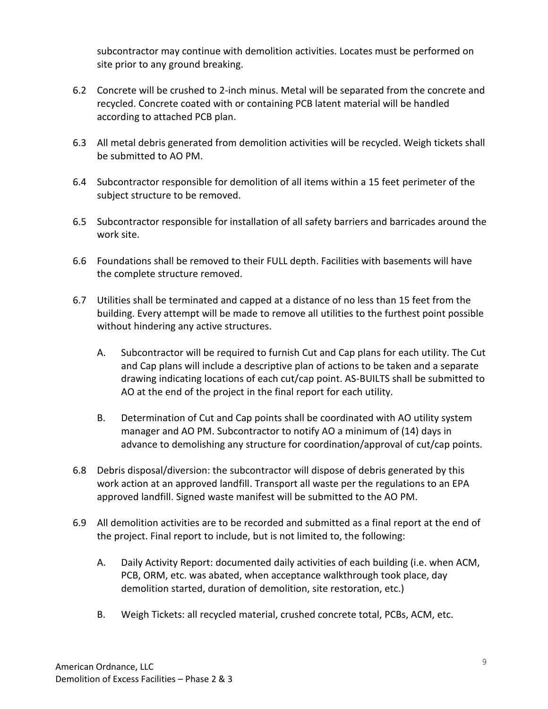subcontractor may continue with demolition activities. Locates must be performed on site prior to any ground breaking.

- 6.2 Concrete will be crushed to 2-inch minus. Metal will be separated from the concrete and recycled. Concrete coated with or containing PCB latent material will be handled according to attached PCB plan.
- 6.3 All metal debris generated from demolition activities will be recycled. Weigh tickets shall be submitted to AO PM.
- 6.4 Subcontractor responsible for demolition of all items within a 15 feet perimeter of the subject structure to be removed.
- 6.5 Subcontractor responsible for installation of all safety barriers and barricades around the work site.
- 6.6 Foundations shall be removed to their FULL depth. Facilities with basements will have the complete structure removed.
- 6.7 Utilities shall be terminated and capped at a distance of no less than 15 feet from the building. Every attempt will be made to remove all utilities to the furthest point possible without hindering any active structures.
	- A. Subcontractor will be required to furnish Cut and Cap plans for each utility. The Cut and Cap plans will include a descriptive plan of actions to be taken and a separate drawing indicating locations of each cut/cap point. AS-BUILTS shall be submitted to AO at the end of the project in the final report for each utility.
	- B. Determination of Cut and Cap points shall be coordinated with AO utility system manager and AO PM. Subcontractor to notify AO a minimum of (14) days in advance to demolishing any structure for coordination/approval of cut/cap points.
- 6.8 Debris disposal/diversion: the subcontractor will dispose of debris generated by this work action at an approved landfill. Transport all waste per the regulations to an EPA approved landfill. Signed waste manifest will be submitted to the AO PM.
- 6.9 All demolition activities are to be recorded and submitted as a final report at the end of the project. Final report to include, but is not limited to, the following:
	- A. Daily Activity Report: documented daily activities of each building (i.e. when ACM, PCB, ORM, etc. was abated, when acceptance walkthrough took place, day demolition started, duration of demolition, site restoration, etc.)
	- B. Weigh Tickets: all recycled material, crushed concrete total, PCBs, ACM, etc.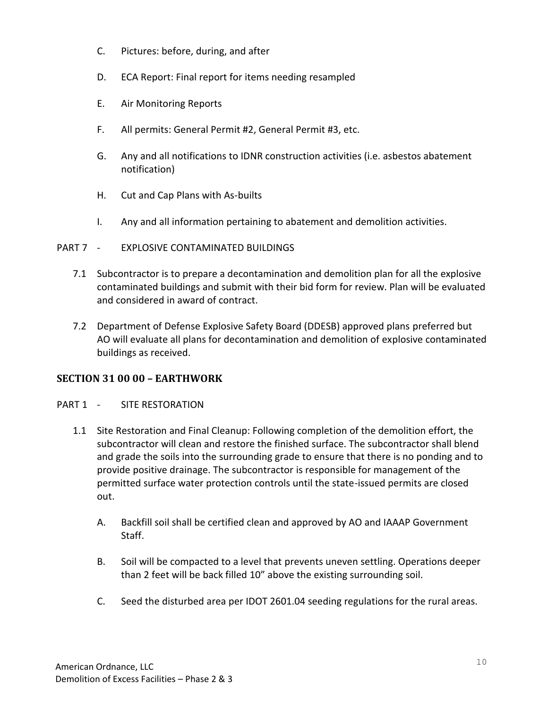- C. Pictures: before, during, and after
- D. ECA Report: Final report for items needing resampled
- E. Air Monitoring Reports
- F. All permits: General Permit #2, General Permit #3, etc.
- G. Any and all notifications to IDNR construction activities (i.e. asbestos abatement notification)
- H. Cut and Cap Plans with As-builts
- I. Any and all information pertaining to abatement and demolition activities.

#### PART 7 - EXPLOSIVE CONTAMINATED BUILDINGS

- 7.1 Subcontractor is to prepare a decontamination and demolition plan for all the explosive contaminated buildings and submit with their bid form for review. Plan will be evaluated and considered in award of contract.
- 7.2 Department of Defense Explosive Safety Board (DDESB) approved plans preferred but AO will evaluate all plans for decontamination and demolition of explosive contaminated buildings as received.

## **SECTION 31 00 00 – EARTHWORK**

#### PART 1 - SITE RESTORATION

- 1.1 Site Restoration and Final Cleanup: Following completion of the demolition effort, the subcontractor will clean and restore the finished surface. The subcontractor shall blend and grade the soils into the surrounding grade to ensure that there is no ponding and to provide positive drainage. The subcontractor is responsible for management of the permitted surface water protection controls until the state-issued permits are closed out.
	- A. Backfill soil shall be certified clean and approved by AO and IAAAP Government Staff.
	- B. Soil will be compacted to a level that prevents uneven settling. Operations deeper than 2 feet will be back filled 10" above the existing surrounding soil.
	- C. Seed the disturbed area per IDOT 2601.04 seeding regulations for the rural areas.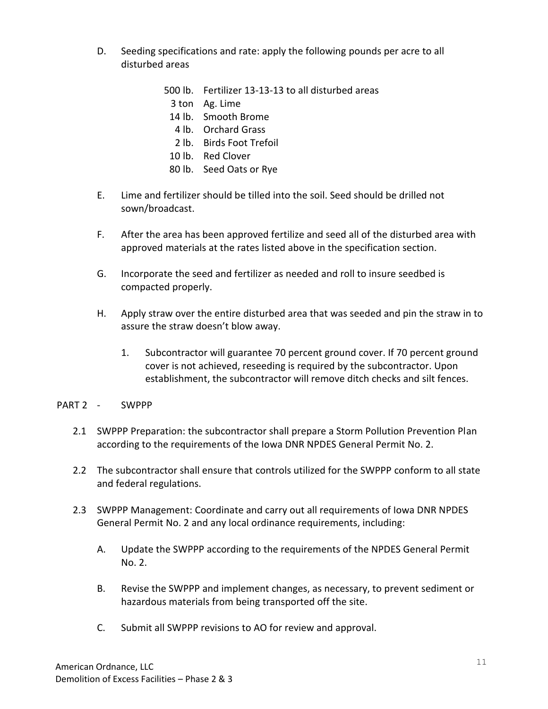- D. Seeding specifications and rate: apply the following pounds per acre to all disturbed areas
	- 500 lb. Fertilizer 13-13-13 to all disturbed areas
		- 3 ton Ag. Lime
	- 14 lb. Smooth Brome
	- 4 lb. Orchard Grass
	- 2 lb. Birds Foot Trefoil
	- 10 lb. Red Clover
	- 80 lb. Seed Oats or Rye
- E. Lime and fertilizer should be tilled into the soil. Seed should be drilled not sown/broadcast.
- F. After the area has been approved fertilize and seed all of the disturbed area with approved materials at the rates listed above in the specification section.
- G. Incorporate the seed and fertilizer as needed and roll to insure seedbed is compacted properly.
- H. Apply straw over the entire disturbed area that was seeded and pin the straw in to assure the straw doesn't blow away.
	- 1. Subcontractor will guarantee 70 percent ground cover. If 70 percent ground cover is not achieved, reseeding is required by the subcontractor. Upon establishment, the subcontractor will remove ditch checks and silt fences.
- PART 2 SWPPP
	- 2.1 SWPPP Preparation: the subcontractor shall prepare a Storm Pollution Prevention Plan according to the requirements of the Iowa DNR NPDES General Permit No. 2.
	- 2.2 The subcontractor shall ensure that controls utilized for the SWPPP conform to all state and federal regulations.
	- 2.3 SWPPP Management: Coordinate and carry out all requirements of Iowa DNR NPDES General Permit No. 2 and any local ordinance requirements, including:
		- A. Update the SWPPP according to the requirements of the NPDES General Permit No. 2.
		- B. Revise the SWPPP and implement changes, as necessary, to prevent sediment or hazardous materials from being transported off the site.
		- C. Submit all SWPPP revisions to AO for review and approval.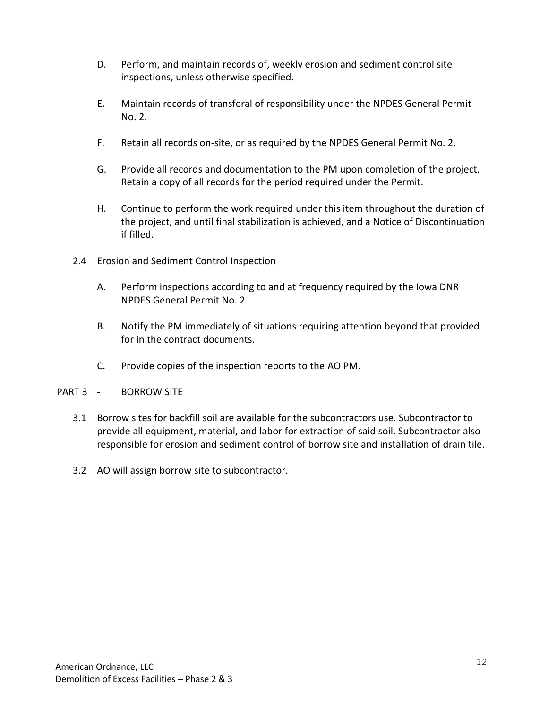- D. Perform, and maintain records of, weekly erosion and sediment control site inspections, unless otherwise specified.
- E. Maintain records of transferal of responsibility under the NPDES General Permit No. 2.
- F. Retain all records on-site, or as required by the NPDES General Permit No. 2.
- G. Provide all records and documentation to the PM upon completion of the project. Retain a copy of all records for the period required under the Permit.
- H. Continue to perform the work required under this item throughout the duration of the project, and until final stabilization is achieved, and a Notice of Discontinuation if filled.
- 2.4 Erosion and Sediment Control Inspection
	- A. Perform inspections according to and at frequency required by the Iowa DNR NPDES General Permit No. 2
	- B. Notify the PM immediately of situations requiring attention beyond that provided for in the contract documents.
	- C. Provide copies of the inspection reports to the AO PM.
- PART 3 BORROW SITE
	- 3.1 Borrow sites for backfill soil are available for the subcontractors use. Subcontractor to provide all equipment, material, and labor for extraction of said soil. Subcontractor also responsible for erosion and sediment control of borrow site and installation of drain tile.
	- 3.2 AO will assign borrow site to subcontractor.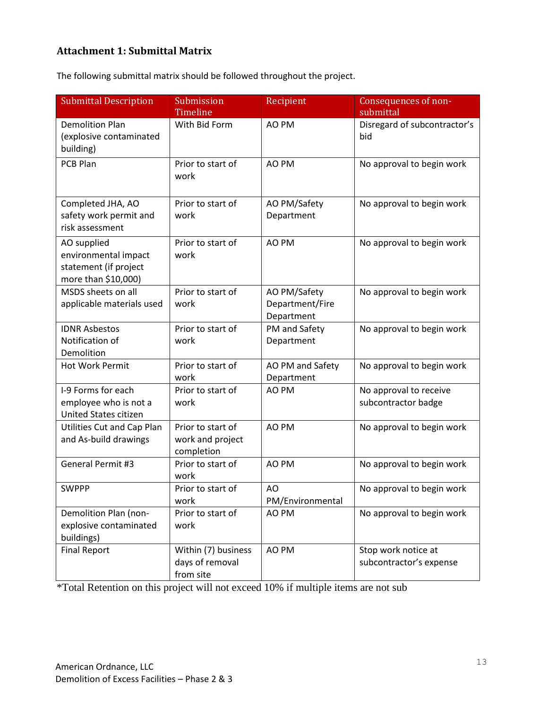## **Attachment 1: Submittal Matrix**

The following submittal matrix should be followed throughout the project.

| <b>Submittal Description</b>                                                        | Submission<br>Timeline                              | Recipient                                     | Consequences of non-<br>submittal              |
|-------------------------------------------------------------------------------------|-----------------------------------------------------|-----------------------------------------------|------------------------------------------------|
| <b>Demolition Plan</b><br>(explosive contaminated<br>building)                      | With Bid Form                                       | AO PM                                         | Disregard of subcontractor's<br>bid            |
| PCB Plan                                                                            | Prior to start of<br>work                           | AO PM                                         | No approval to begin work                      |
| Completed JHA, AO<br>safety work permit and<br>risk assessment                      | Prior to start of<br>work                           | AO PM/Safety<br>Department                    | No approval to begin work                      |
| AO supplied<br>environmental impact<br>statement (if project<br>more than \$10,000) | Prior to start of<br>work                           | AO PM                                         | No approval to begin work                      |
| MSDS sheets on all<br>applicable materials used                                     | Prior to start of<br>work                           | AO PM/Safety<br>Department/Fire<br>Department | No approval to begin work                      |
| <b>IDNR Asbestos</b><br>Notification of<br>Demolition                               | Prior to start of<br>work                           | PM and Safety<br>Department                   | No approval to begin work                      |
| <b>Hot Work Permit</b>                                                              | Prior to start of<br>work                           | AO PM and Safety<br>Department                | No approval to begin work                      |
| I-9 Forms for each<br>employee who is not a<br>United States citizen                | Prior to start of<br>work                           | AO PM                                         | No approval to receive<br>subcontractor badge  |
| Utilities Cut and Cap Plan<br>and As-build drawings                                 | Prior to start of<br>work and project<br>completion | AO PM                                         | No approval to begin work                      |
| General Permit #3                                                                   | Prior to start of<br>work                           | AO PM                                         | No approval to begin work                      |
| <b>SWPPP</b>                                                                        | Prior to start of<br>work                           | AO<br>PM/Environmental                        | No approval to begin work                      |
| Demolition Plan (non-<br>explosive contaminated<br>buildings)                       | Prior to start of<br>work                           | AO PM                                         | No approval to begin work                      |
| <b>Final Report</b>                                                                 | Within (7) business<br>days of removal<br>from site | AO PM                                         | Stop work notice at<br>subcontractor's expense |

\*Total Retention on this project will not exceed 10% if multiple items are not sub